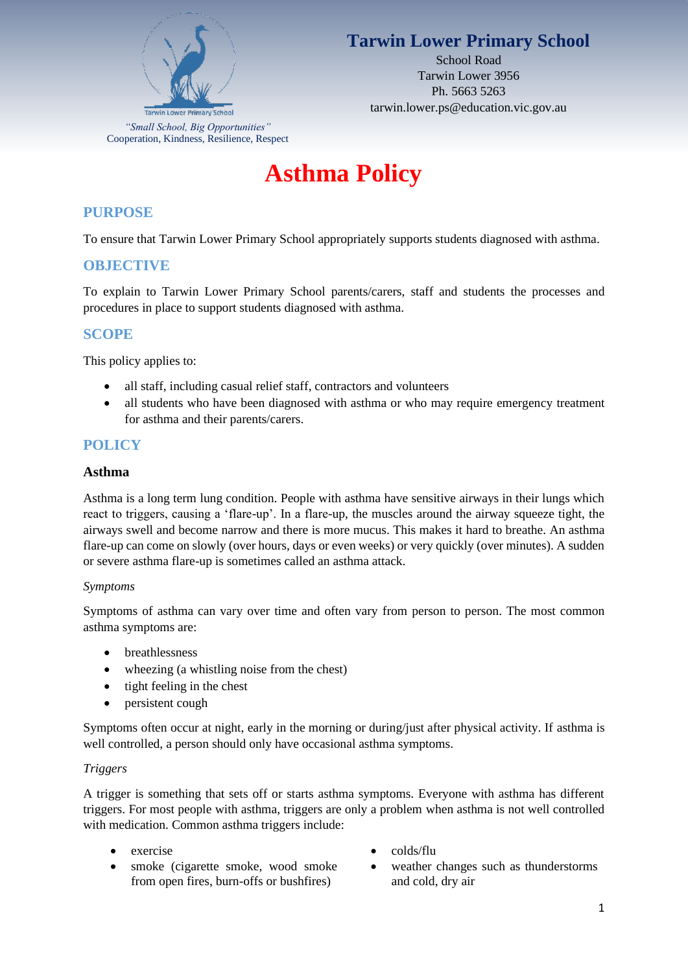

# **Tarwin Lower Primary School**

School Road Tarwin Lower 3956 Ph. 5663 5263 tarwin.lower.ps@education.vic.gov.au

# **Asthma Policy**

### **PURPOSE**

To ensure that Tarwin Lower Primary School appropriately supports students diagnosed with asthma.

#### **OBJECTIVE**

To explain to Tarwin Lower Primary School parents/carers, staff and students the processes and procedures in place to support students diagnosed with asthma.

#### **SCOPE**

This policy applies to:

- all staff, including casual relief staff, contractors and volunteers
- all students who have been diagnosed with asthma or who may require emergency treatment for asthma and their parents/carers.

#### **POLICY**

#### **Asthma**

Asthma is a long term lung condition. People with asthma have sensitive airways in their lungs which react to triggers, causing a 'flare-up'. In a flare-up, the muscles around the airway squeeze tight, the airways swell and become narrow and there is more mucus. This makes it hard to breathe. An asthma flare-up can come on slowly (over hours, days or even weeks) or very quickly (over minutes). A sudden or severe asthma flare-up is sometimes called an asthma attack.

#### *Symptoms*

Symptoms of asthma can vary over time and often vary from person to person. The most common asthma symptoms are:

- breathlessness
- wheezing (a whistling noise from the chest)
- tight feeling in the chest
- persistent cough

Symptoms often occur at night, early in the morning or during/just after physical activity. If asthma is well controlled, a person should only have occasional asthma symptoms.

#### *Triggers*

A trigger is something that sets off or starts asthma symptoms. Everyone with asthma has different triggers. For most people with asthma, triggers are only a problem when asthma is not well controlled with medication. Common asthma triggers include:

- 
- smoke (cigarette smoke, wood smoke from open fires, burn-offs or bushfires)
- exercise colds/flu
	- weather changes such as thunderstorms and cold, dry air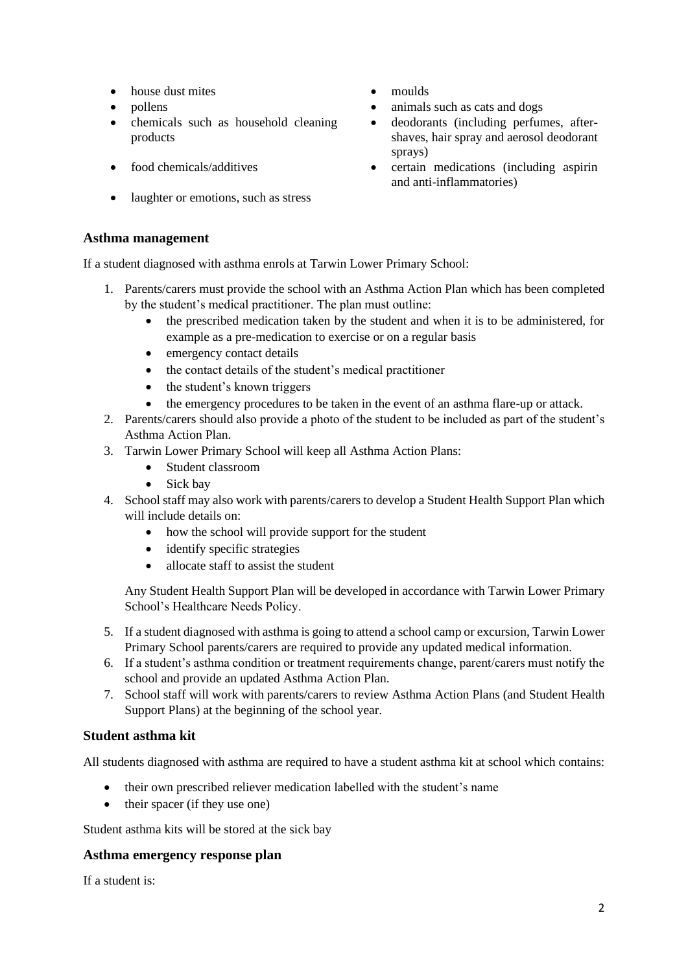- house dust mites moulds
- 
- chemicals such as household cleaning products
- 
- laughter or emotions, such as stress

#### **Asthma management**

If a student diagnosed with asthma enrols at Tarwin Lower Primary School:

- 1. Parents/carers must provide the school with an Asthma Action Plan which has been completed by the student's medical practitioner. The plan must outline:
	- the prescribed medication taken by the student and when it is to be administered, for example as a pre-medication to exercise or on a regular basis
	- emergency contact details
	- the contact details of the student's medical practitioner
	- the student's known triggers
	- the emergency procedures to be taken in the event of an asthma flare-up or attack.
- 2. Parents/carers should also provide a photo of the student to be included as part of the student's Asthma Action Plan.
- 3. Tarwin Lower Primary School will keep all Asthma Action Plans:
	- Student classroom
	- Sick bay
- 4. School staff may also work with parents/carers to develop a Student Health Support Plan which will include details on:
	- how the school will provide support for the student
	- identify specific strategies
	- allocate staff to assist the student

Any Student Health Support Plan will be developed in accordance with Tarwin Lower Primary School's Healthcare Needs Policy.

- 5. If a student diagnosed with asthma is going to attend a school camp or excursion, Tarwin Lower Primary School parents/carers are required to provide any updated medical information.
- 6. If a student's asthma condition or treatment requirements change, parent/carers must notify the school and provide an updated Asthma Action Plan.
- 7. School staff will work with parents/carers to review Asthma Action Plans (and Student Health Support Plans) at the beginning of the school year.

#### **Student asthma kit**

All students diagnosed with asthma are required to have a student asthma kit at school which contains:

- their own prescribed reliever medication labelled with the student's name
- their spacer (if they use one)

Student asthma kits will be stored at the sick bay

#### **Asthma emergency response plan**

If a student is:

- 
- pollens animals such as cats and dogs
	- deodorants (including perfumes, aftershaves, hair spray and aerosol deodorant sprays)
- food chemicals/additives certain medications (including aspirin and anti-inflammatories)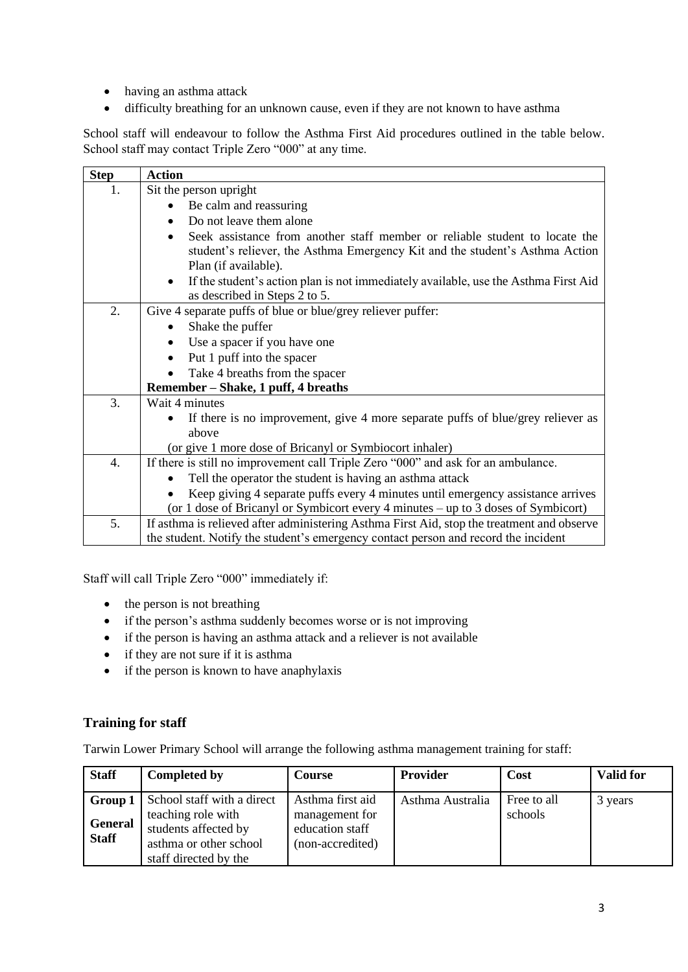- having an asthma attack
- difficulty breathing for an unknown cause, even if they are not known to have asthma

School staff will endeavour to follow the Asthma First Aid procedures outlined in the table below. School staff may contact Triple Zero "000" at any time.

| <b>Step</b>      | <b>Action</b>                                                                                                                                                                                    |  |  |
|------------------|--------------------------------------------------------------------------------------------------------------------------------------------------------------------------------------------------|--|--|
| 1.               | Sit the person upright                                                                                                                                                                           |  |  |
|                  | Be calm and reassuring                                                                                                                                                                           |  |  |
|                  | Do not leave them alone<br>$\bullet$                                                                                                                                                             |  |  |
|                  | Seek assistance from another staff member or reliable student to locate the<br>$\bullet$<br>student's reliever, the Asthma Emergency Kit and the student's Asthma Action<br>Plan (if available). |  |  |
|                  | If the student's action plan is not immediately available, use the Asthma First Aid<br>$\bullet$<br>as described in Steps 2 to 5.                                                                |  |  |
| 2.               | Give 4 separate puffs of blue or blue/grey reliever puffer:                                                                                                                                      |  |  |
|                  | Shake the puffer                                                                                                                                                                                 |  |  |
|                  | Use a spacer if you have one                                                                                                                                                                     |  |  |
|                  | Put 1 puff into the spacer                                                                                                                                                                       |  |  |
|                  | Take 4 breaths from the spacer                                                                                                                                                                   |  |  |
|                  | Remember – Shake, 1 puff, 4 breaths                                                                                                                                                              |  |  |
| 3.               | Wait 4 minutes                                                                                                                                                                                   |  |  |
|                  | If there is no improvement, give 4 more separate puffs of blue/grey reliever as                                                                                                                  |  |  |
|                  | above                                                                                                                                                                                            |  |  |
|                  | (or give 1 more dose of Bricanyl or Symbiocort inhaler)                                                                                                                                          |  |  |
| $\overline{4}$ . | If there is still no improvement call Triple Zero "000" and ask for an ambulance.                                                                                                                |  |  |
|                  | Tell the operator the student is having an asthma attack                                                                                                                                         |  |  |
|                  | Keep giving 4 separate puffs every 4 minutes until emergency assistance arrives                                                                                                                  |  |  |
|                  | (or 1 dose of Bricanyl or Symbicort every 4 minutes – up to 3 doses of Symbicort)                                                                                                                |  |  |
| 5.               | If asthma is relieved after administering Asthma First Aid, stop the treatment and observe                                                                                                       |  |  |
|                  | the student. Notify the student's emergency contact person and record the incident                                                                                                               |  |  |

Staff will call Triple Zero "000" immediately if:

- the person is not breathing
- if the person's asthma suddenly becomes worse or is not improving
- if the person is having an asthma attack and a reliever is not available
- if they are not sure if it is asthma
- if the person is known to have anaphylaxis

#### **Training for staff**

Tarwin Lower Primary School will arrange the following asthma management training for staff:

| <b>Staff</b>                   | <b>Completed by</b>                                                                                                                        | <b>Course</b>                                                             | <b>Provider</b>  | Cost                   | <b>Valid for</b> |
|--------------------------------|--------------------------------------------------------------------------------------------------------------------------------------------|---------------------------------------------------------------------------|------------------|------------------------|------------------|
| <b>General</b><br><b>Staff</b> | <b>Group 1</b> School staff with a direct<br>teaching role with<br>students affected by<br>asthma or other school<br>staff directed by the | Asthma first aid<br>management for<br>education staff<br>(non-accredited) | Asthma Australia | Free to all<br>schools | 3 years          |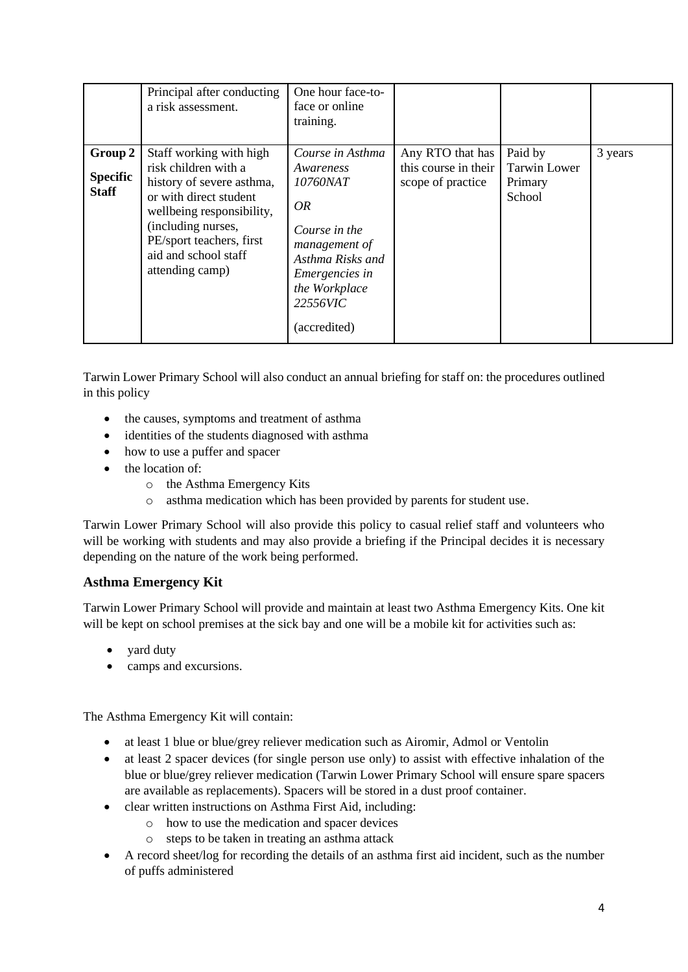|                                            | Principal after conducting<br>a risk assessment.                                                                                                                                                                                 | One hour face-to-<br>face or online<br>training.                                                                                                                             |                                                               |                                                     |         |
|--------------------------------------------|----------------------------------------------------------------------------------------------------------------------------------------------------------------------------------------------------------------------------------|------------------------------------------------------------------------------------------------------------------------------------------------------------------------------|---------------------------------------------------------------|-----------------------------------------------------|---------|
| Group 2<br><b>Specific</b><br><b>Staff</b> | Staff working with high<br>risk children with a<br>history of severe asthma,<br>or with direct student<br>wellbeing responsibility,<br>(including nurses,<br>PE/sport teachers, first<br>aid and school staff<br>attending camp) | Course in Asthma<br>Awareness<br>10760NAT<br>OR.<br>Course in the<br>management of<br>Asthma Risks and<br><i>Emergencies in</i><br>the Workplace<br>22556VIC<br>(accredited) | Any RTO that has<br>this course in their<br>scope of practice | Paid by<br><b>Tarwin Lower</b><br>Primary<br>School | 3 years |

Tarwin Lower Primary School will also conduct an annual briefing for staff on: the procedures outlined in this policy

- the causes, symptoms and treatment of asthma
- identities of the students diagnosed with asthma
- how to use a puffer and spacer
- the location of:
	- o the Asthma Emergency Kits
	- o asthma medication which has been provided by parents for student use.

Tarwin Lower Primary School will also provide this policy to casual relief staff and volunteers who will be working with students and may also provide a briefing if the Principal decides it is necessary depending on the nature of the work being performed.

#### **Asthma Emergency Kit**

Tarwin Lower Primary School will provide and maintain at least two Asthma Emergency Kits. One kit will be kept on school premises at the sick bay and one will be a mobile kit for activities such as:

- yard duty
- camps and excursions.

The Asthma Emergency Kit will contain:

- at least 1 blue or blue/grey reliever medication such as Airomir, Admol or Ventolin
- at least 2 spacer devices (for single person use only) to assist with effective inhalation of the blue or blue/grey reliever medication (Tarwin Lower Primary School will ensure spare spacers are available as replacements). Spacers will be stored in a dust proof container.
- clear written instructions on Asthma First Aid, including:
	- o how to use the medication and spacer devices
	- o steps to be taken in treating an asthma attack
- A record sheet/log for recording the details of an asthma first aid incident, such as the number of puffs administered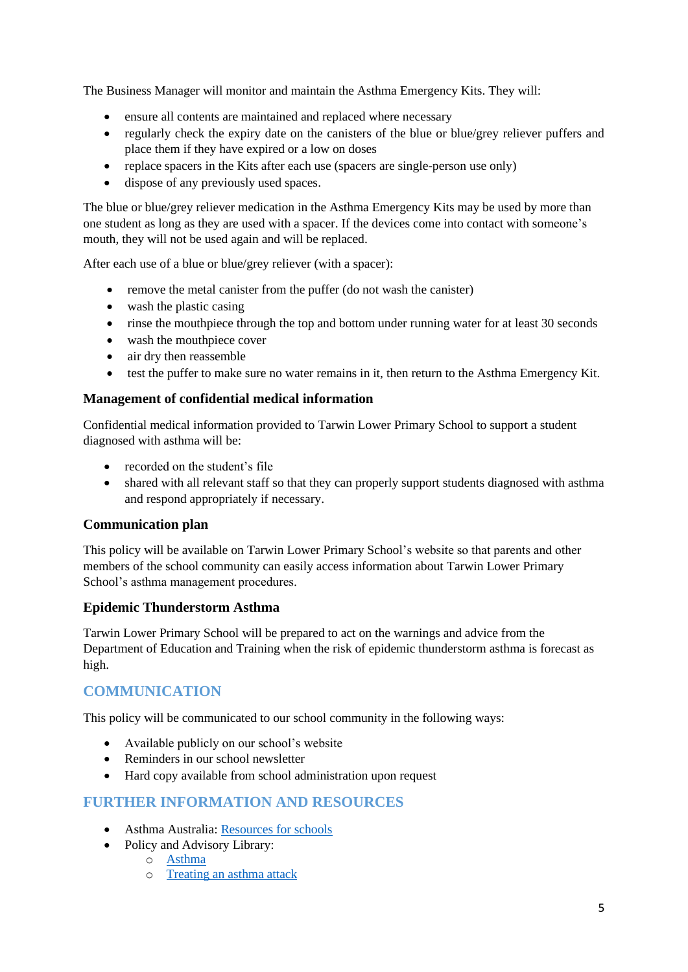The Business Manager will monitor and maintain the Asthma Emergency Kits. They will:

- ensure all contents are maintained and replaced where necessary
- regularly check the expiry date on the canisters of the blue or blue/grey reliever puffers and place them if they have expired or a low on doses
- replace spacers in the Kits after each use (spacers are single-person use only)
- dispose of any previously used spaces.

The blue or blue/grey reliever medication in the Asthma Emergency Kits may be used by more than one student as long as they are used with a spacer. If the devices come into contact with someone's mouth, they will not be used again and will be replaced.

After each use of a blue or blue/grey reliever (with a spacer):

- remove the metal canister from the puffer (do not wash the canister)
- wash the plastic casing
- rinse the mouthpiece through the top and bottom under running water for at least 30 seconds
- wash the mouthpiece cover
- air dry then reassemble
- test the puffer to make sure no water remains in it, then return to the Asthma Emergency Kit.

#### **Management of confidential medical information**

Confidential medical information provided to Tarwin Lower Primary School to support a student diagnosed with asthma will be:

- recorded on the student's file
- shared with all relevant staff so that they can properly support students diagnosed with asthma and respond appropriately if necessary.

#### **Communication plan**

This policy will be available on Tarwin Lower Primary School's website so that parents and other members of the school community can easily access information about Tarwin Lower Primary School's asthma management procedures.

#### **Epidemic Thunderstorm Asthma**

Tarwin Lower Primary School will be prepared to act on the warnings and advice from the Department of Education and Training when the risk of epidemic thunderstorm asthma is forecast as high.

#### **COMMUNICATION**

This policy will be communicated to our school community in the following ways:

- Available publicly on our school's website
- Reminders in our school newsletter
- Hard copy available from school administration upon request

#### **FURTHER INFORMATION AND RESOURCES**

- Asthma Australia: [Resources for schools](https://www.asthmaaustralia.org.au/vic/education-and-training/for-victorian-schools/victorian-schools-resources/school-resources)
- Policy and Advisory Library:
	- o [Asthma](https://www2.education.vic.gov.au/pal/asthma/policy)
	- o [Treating an asthma attack](https://www2.education.vic.gov.au/pal/asthma/guidance/treating-asthma-attack)